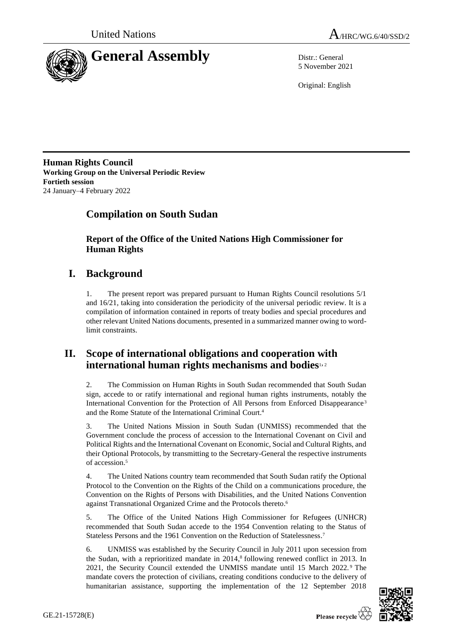



5 November 2021

Original: English

**Human Rights Council Working Group on the Universal Periodic Review Fortieth session** 24 January–4 February 2022

# **Compilation on South Sudan**

**Report of the Office of the United Nations High Commissioner for Human Rights**

# **I. Background**

1. The present report was prepared pursuant to Human Rights Council resolutions 5/1 and 16/21, taking into consideration the periodicity of the universal periodic review. It is a compilation of information contained in reports of treaty bodies and special procedures and other relevant United Nations documents, presented in a summarized manner owing to wordlimit constraints.

## **II. Scope of international obligations and cooperation with international human rights mechanisms and bodies**1, <sup>2</sup>

2. The Commission on Human Rights in South Sudan recommended that South Sudan sign, accede to or ratify international and regional human rights instruments, notably the International Convention for the Protection of All Persons from Enforced Disappearance<sup>3</sup> and the Rome Statute of the International Criminal Court. 4

3. The United Nations Mission in South Sudan (UNMISS) recommended that the Government conclude the process of accession to the International Covenant on Civil and Political Rights and the International Covenant on Economic, Social and Cultural Rights, and their Optional Protocols, by transmitting to the Secretary-General the respective instruments of accession. 5

4. The United Nations country team recommended that South Sudan ratify the Optional Protocol to the Convention on the Rights of the Child on a communications procedure, the Convention on the Rights of Persons with Disabilities, and the United Nations Convention against Transnational Organized Crime and the Protocols thereto. 6

5. The Office of the United Nations High Commissioner for Refugees (UNHCR) recommended that South Sudan accede to the 1954 Convention relating to the Status of Stateless Persons and the 1961 Convention on the Reduction of Statelessness.<sup>7</sup>

6. UNMISS was established by the Security Council in July 2011 upon secession from the Sudan, with a reprioritized mandate in 2014, 8 following renewed conflict in 2013. In 2021, the Security Council extended the UNMISS mandate until 15 March 2022. <sup>9</sup> The mandate covers the protection of civilians, creating conditions conducive to the delivery of humanitarian assistance, supporting the implementation of the 12 September 2018

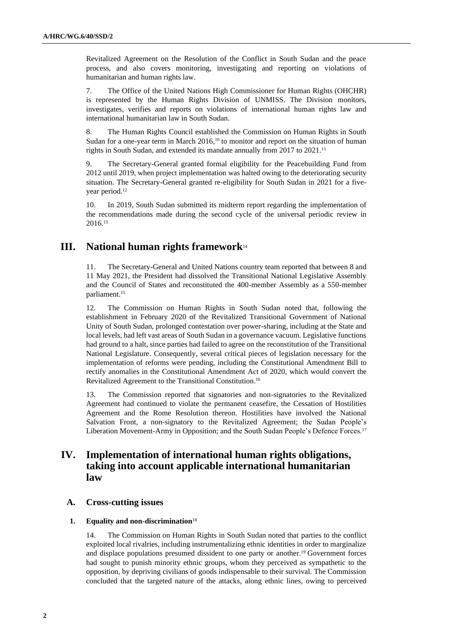Revitalized Agreement on the Resolution of the Conflict in South Sudan and the peace process, and also covers monitoring, investigating and reporting on violations of humanitarian and human rights law.

7. The Office of the United Nations High Commissioner for Human Rights (OHCHR) is represented by the Human Rights Division of UNMISS. The Division monitors, investigates, verifies and reports on violations of international human rights law and international humanitarian law in South Sudan.

8. The Human Rights Council established the Commission on Human Rights in South Sudan for a one-year term in March  $2016$ ,<sup>10</sup> to monitor and report on the situation of human rights in South Sudan, and extended its mandate annually from 2017 to 2021.<sup>11</sup>

9. The Secretary-General granted formal eligibility for the Peacebuilding Fund from 2012 until 2019, when project implementation was halted owing to the deteriorating security situation. The Secretary-General granted re-eligibility for South Sudan in 2021 for a fiveyear period.<sup>12</sup>

10. In 2019, South Sudan submitted its midterm report regarding the implementation of the recommendations made during the second cycle of the universal periodic review in 2016. 13

## **III. National human rights framework**<sup>14</sup>

11. The Secretary-General and United Nations country team reported that between 8 and 11 May 2021, the President had dissolved the Transitional National Legislative Assembly and the Council of States and reconstituted the 400-member Assembly as a 550-member parliament.<sup>15</sup>

12. The Commission on Human Rights in South Sudan noted that, following the establishment in February 2020 of the Revitalized Transitional Government of National Unity of South Sudan, prolonged contestation over power-sharing, including at the State and local levels, had left vast areas of South Sudan in a governance vacuum. Legislative functions had ground to a halt, since parties had failed to agree on the reconstitution of the Transitional National Legislature. Consequently, several critical pieces of legislation necessary for the implementation of reforms were pending, including the Constitutional Amendment Bill to rectify anomalies in the Constitutional Amendment Act of 2020, which would convert the Revitalized Agreement to the Transitional Constitution. 16

13. The Commission reported that signatories and non-signatories to the Revitalized Agreement had continued to violate the permanent ceasefire, the Cessation of Hostilities Agreement and the Rome Resolution thereon. Hostilities have involved the National Salvation Front, a non-signatory to the Revitalized Agreement; the Sudan People's Liberation Movement-Army in Opposition; and the South Sudan People's Defence Forces.<sup>17</sup>

## **IV. Implementation of international human rights obligations, taking into account applicable international humanitarian law**

## **A. Cross-cutting issues**

## **1. Equality and non-discrimination**<sup>18</sup>

14. The Commission on Human Rights in South Sudan noted that parties to the conflict exploited local rivalries, including instrumentalizing ethnic identities in order to marginalize and displace populations presumed dissident to one party or another.<sup>19</sup> Government forces had sought to punish minority ethnic groups, whom they perceived as sympathetic to the opposition, by depriving civilians of goods indispensable to their survival. The Commission concluded that the targeted nature of the attacks, along ethnic lines, owing to perceived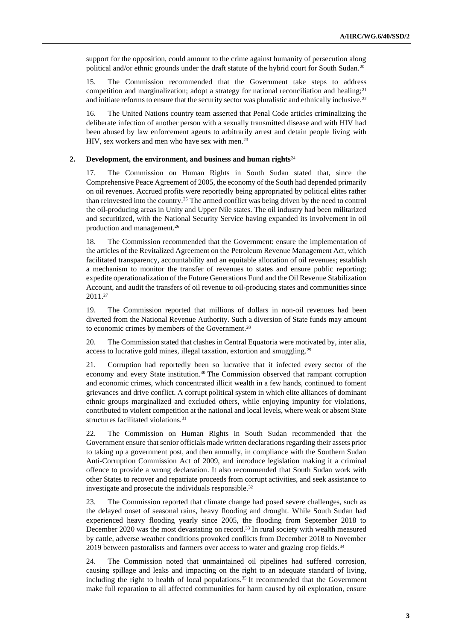support for the opposition, could amount to the crime against humanity of persecution along political and/or ethnic grounds under the draft statute of the hybrid court for South Sudan.<sup>20</sup>

15. The Commission recommended that the Government take steps to address competition and marginalization; adopt a strategy for national reconciliation and healing; $2<sup>1</sup>$ and initiate reforms to ensure that the security sector was pluralistic and ethnically inclusive.<sup>22</sup>

16. The United Nations country team asserted that Penal Code articles criminalizing the deliberate infection of another person with a sexually transmitted disease and with HIV had been abused by law enforcement agents to arbitrarily arrest and detain people living with HIV, sex workers and men who have sex with men.<sup>23</sup>

#### **2. Development, the environment, and business and human rights**<sup>24</sup>

17. The Commission on Human Rights in South Sudan stated that, since the Comprehensive Peace Agreement of 2005, the economy of the South had depended primarily on oil revenues. Accrued profits were reportedly being appropriated by political elites rather than reinvested into the country.<sup>25</sup> The armed conflict was being driven by the need to control the oil-producing areas in Unity and Upper Nile states. The oil industry had been militarized and securitized, with the National Security Service having expanded its involvement in oil production and management.<sup>26</sup>

18. The Commission recommended that the Government: ensure the implementation of the articles of the Revitalized Agreement on the Petroleum Revenue Management Act, which facilitated transparency, accountability and an equitable allocation of oil revenues; establish a mechanism to monitor the transfer of revenues to states and ensure public reporting; expedite operationalization of the Future Generations Fund and the Oil Revenue Stabilization Account, and audit the transfers of oil revenue to oil-producing states and communities since 2011.<sup>27</sup>

19. The Commission reported that millions of dollars in non-oil revenues had been diverted from the National Revenue Authority. Such a diversion of State funds may amount to economic crimes by members of the Government.<sup>28</sup>

20. The Commission stated that clashes in Central Equatoria were motivated by, inter alia, access to lucrative gold mines, illegal taxation, extortion and smuggling.<sup>29</sup>

21. Corruption had reportedly been so lucrative that it infected every sector of the economy and every State institution.<sup>30</sup> The Commission observed that rampant corruption and economic crimes, which concentrated illicit wealth in a few hands, continued to foment grievances and drive conflict. A corrupt political system in which elite alliances of dominant ethnic groups marginalized and excluded others, while enjoying impunity for violations, contributed to violent competition at the national and local levels, where weak or absent State structures facilitated violations.<sup>31</sup>

22. The Commission on Human Rights in South Sudan recommended that the Government ensure that senior officials made written declarations regarding their assets prior to taking up a government post, and then annually, in compliance with the Southern Sudan Anti-Corruption Commission Act of 2009, and introduce legislation making it a criminal offence to provide a wrong declaration. It also recommended that South Sudan work with other States to recover and repatriate proceeds from corrupt activities, and seek assistance to investigate and prosecute the individuals responsible.<sup>32</sup>

23. The Commission reported that climate change had posed severe challenges, such as the delayed onset of seasonal rains, heavy flooding and drought. While South Sudan had experienced heavy flooding yearly since 2005, the flooding from September 2018 to December 2020 was the most devastating on record.<sup>33</sup> In rural society with wealth measured by cattle, adverse weather conditions provoked conflicts from December 2018 to November 2019 between pastoralists and farmers over access to water and grazing crop fields.<sup>34</sup>

24. The Commission noted that unmaintained oil pipelines had suffered corrosion, causing spillage and leaks and impacting on the right to an adequate standard of living, including the right to health of local populations.<sup>35</sup> It recommended that the Government make full reparation to all affected communities for harm caused by oil exploration, ensure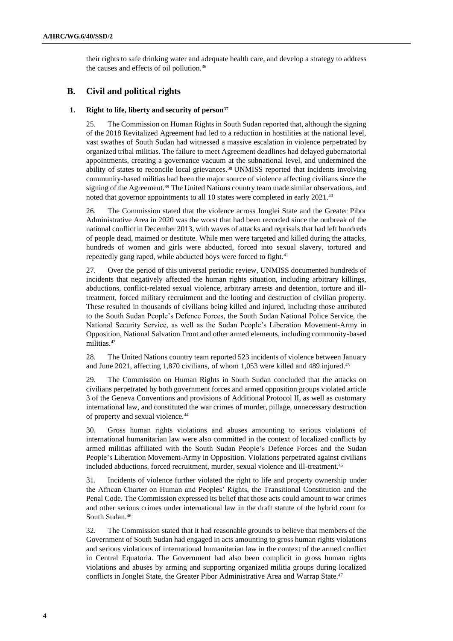their rights to safe drinking water and adequate health care, and develop a strategy to address the causes and effects of oil pollution.<sup>36</sup>

## **B. Civil and political rights**

## **1. Right to life, liberty and security of person**<sup>37</sup>

25. The Commission on Human Rights in South Sudan reported that, although the signing of the 2018 Revitalized Agreement had led to a reduction in hostilities at the national level, vast swathes of South Sudan had witnessed a massive escalation in violence perpetrated by organized tribal militias. The failure to meet Agreement deadlines had delayed gubernatorial appointments, creating a governance vacuum at the subnational level, and undermined the ability of states to reconcile local grievances.<sup>38</sup> UNMISS reported that incidents involving community-based militias had been the major source of violence affecting civilians since the signing of the Agreement.<sup>39</sup> The United Nations country team made similar observations, and noted that governor appointments to all 10 states were completed in early 2021.<sup>40</sup>

26. The Commission stated that the violence across Jonglei State and the Greater Pibor Administrative Area in 2020 was the worst that had been recorded since the outbreak of the national conflict in December 2013, with waves of attacks and reprisals that had left hundreds of people dead, maimed or destitute. While men were targeted and killed during the attacks, hundreds of women and girls were abducted, forced into sexual slavery, tortured and repeatedly gang raped, while abducted boys were forced to fight.<sup>41</sup>

27. Over the period of this universal periodic review, UNMISS documented hundreds of incidents that negatively affected the human rights situation, including arbitrary killings, abductions, conflict-related sexual violence, arbitrary arrests and detention, torture and illtreatment, forced military recruitment and the looting and destruction of civilian property. These resulted in thousands of civilians being killed and injured, including those attributed to the South Sudan People's Defence Forces, the South Sudan National Police Service, the National Security Service, as well as the Sudan People's Liberation Movement-Army in Opposition, National Salvation Front and other armed elements, including community-based militias.<sup>42</sup>

28. The United Nations country team reported 523 incidents of violence between January and June 2021, affecting 1,870 civilians, of whom 1,053 were killed and 489 injured.<sup>43</sup>

29. The Commission on Human Rights in South Sudan concluded that the attacks on civilians perpetrated by both government forces and armed opposition groups violated article 3 of the Geneva Conventions and provisions of Additional Protocol II, as well as customary international law, and constituted the war crimes of murder, pillage, unnecessary destruction of property and sexual violence.<sup>44</sup>

30. Gross human rights violations and abuses amounting to serious violations of international humanitarian law were also committed in the context of localized conflicts by armed militias affiliated with the South Sudan People's Defence Forces and the Sudan People's Liberation Movement-Army in Opposition. Violations perpetrated against civilians included abductions, forced recruitment, murder, sexual violence and ill-treatment.<sup>45</sup>

31. Incidents of violence further violated the right to life and property ownership under the African Charter on Human and Peoples' Rights, the Transitional Constitution and the Penal Code. The Commission expressed its belief that those acts could amount to war crimes and other serious crimes under international law in the draft statute of the hybrid court for South Sudan.<sup>46</sup>

32. The Commission stated that it had reasonable grounds to believe that members of the Government of South Sudan had engaged in acts amounting to gross human rights violations and serious violations of international humanitarian law in the context of the armed conflict in Central Equatoria. The Government had also been complicit in gross human rights violations and abuses by arming and supporting organized militia groups during localized conflicts in Jonglei State, the Greater Pibor Administrative Area and Warrap State.47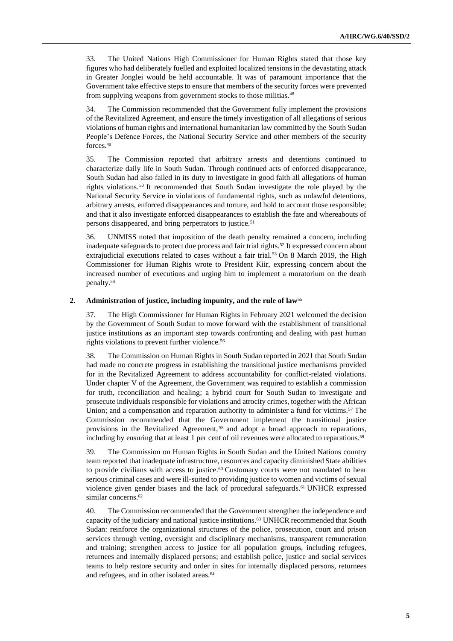33. The United Nations High Commissioner for Human Rights stated that those key figures who had deliberately fuelled and exploited localized tensions in the devastating attack in Greater Jonglei would be held accountable. It was of paramount importance that the Government take effective steps to ensure that members of the security forces were prevented from supplying weapons from government stocks to those militias.<sup>48</sup>

34. The Commission recommended that the Government fully implement the provisions of the Revitalized Agreement, and ensure the timely investigation of all allegations of serious violations of human rights and international humanitarian law committed by the South Sudan People's Defence Forces, the National Security Service and other members of the security forces.<sup>49</sup>

35. The Commission reported that arbitrary arrests and detentions continued to characterize daily life in South Sudan. Through continued acts of enforced disappearance, South Sudan had also failed in its duty to investigate in good faith all allegations of human rights violations. <sup>50</sup> It recommended that South Sudan investigate the role played by the National Security Service in violations of fundamental rights, such as unlawful detentions, arbitrary arrests, enforced disappearances and torture, and hold to account those responsible; and that it also investigate enforced disappearances to establish the fate and whereabouts of persons disappeared, and bring perpetrators to justice.<sup>51</sup>

36. UNMISS noted that imposition of the death penalty remained a concern, including inadequate safeguards to protect due process and fair trial rights.<sup>52</sup> It expressed concern about extrajudicial executions related to cases without a fair trial.<sup>53</sup> On 8 March 2019, the High Commissioner for Human Rights wrote to President Kiir, expressing concern about the increased number of executions and urging him to implement a moratorium on the death penalty.<sup>54</sup>

#### **2. Administration of justice, including impunity, and the rule of law**<sup>55</sup>

37. The High Commissioner for Human Rights in February 2021 welcomed the decision by the Government of South Sudan to move forward with the establishment of transitional justice institutions as an important step towards confronting and dealing with past human rights violations to prevent further violence.<sup>56</sup>

38. The Commission on Human Rights in South Sudan reported in 2021 that South Sudan had made no concrete progress in establishing the transitional justice mechanisms provided for in the Revitalized Agreement to address accountability for conflict-related violations. Under chapter V of the Agreement, the Government was required to establish a commission for truth, reconciliation and healing; a hybrid court for South Sudan to investigate and prosecute individuals responsible for violations and atrocity crimes, together with the African Union; and a compensation and reparation authority to administer a fund for victims.<sup>57</sup> The Commission recommended that the Government implement the transitional justice provisions in the Revitalized Agreement, <sup>58</sup> and adopt a broad approach to reparations, including by ensuring that at least 1 per cent of oil revenues were allocated to reparations.<sup>59</sup>

39. The Commission on Human Rights in South Sudan and the United Nations country team reported that inadequate infrastructure, resources and capacity diminished State abilities to provide civilians with access to justice.<sup>60</sup> Customary courts were not mandated to hear serious criminal cases and were ill-suited to providing justice to women and victims of sexual violence given gender biases and the lack of procedural safeguards.<sup>61</sup> UNHCR expressed similar concerns. 62

40. The Commission recommended that the Government strengthen the independence and capacity of the judiciary and national justice institutions.<sup>63</sup> UNHCR recommended that South Sudan: reinforce the organizational structures of the police, prosecution, court and prison services through vetting, oversight and disciplinary mechanisms, transparent remuneration and training; strengthen access to justice for all population groups, including refugees, returnees and internally displaced persons; and establish police, justice and social services teams to help restore security and order in sites for internally displaced persons, returnees and refugees, and in other isolated areas.<sup>64</sup>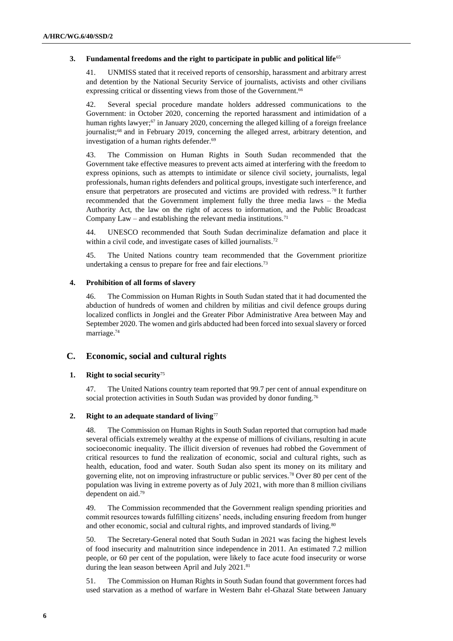## **3. Fundamental freedoms and the right to participate in public and political life**<sup>65</sup>

41. UNMISS stated that it received reports of censorship, harassment and arbitrary arrest and detention by the National Security Service of journalists, activists and other civilians expressing critical or dissenting views from those of the Government.<sup>66</sup>

42. Several special procedure mandate holders addressed communications to the Government: in October 2020, concerning the reported harassment and intimidation of a human rights lawyer;<sup>67</sup> in January 2020, concerning the alleged killing of a foreign freelance journalist; <sup>68</sup> and in February 2019, concerning the alleged arrest, arbitrary detention, and investigation of a human rights defender.<sup>69</sup>

43. The Commission on Human Rights in South Sudan recommended that the Government take effective measures to prevent acts aimed at interfering with the freedom to express opinions, such as attempts to intimidate or silence civil society, journalists, legal professionals, human rights defenders and political groups, investigate such interference, and ensure that perpetrators are prosecuted and victims are provided with redress.<sup>70</sup> It further recommended that the Government implement fully the three media laws – the Media Authority Act, the law on the right of access to information, and the Public Broadcast Company Law – and establishing the relevant media institutions.<sup>71</sup>

44. UNESCO recommended that South Sudan decriminalize defamation and place it within a civil code, and investigate cases of killed journalists.<sup>72</sup>

45. The United Nations country team recommended that the Government prioritize undertaking a census to prepare for free and fair elections.<sup>73</sup>

## **4. Prohibition of all forms of slavery**

46. The Commission on Human Rights in South Sudan stated that it had documented the abduction of hundreds of women and children by militias and civil defence groups during localized conflicts in Jonglei and the Greater Pibor Administrative Area between May and September 2020. The women and girls abducted had been forced into sexual slavery or forced marriage. 74

## **C. Economic, social and cultural rights**

## **1. Right to social security**<sup>75</sup>

47. The United Nations country team reported that 99.7 per cent of annual expenditure on social protection activities in South Sudan was provided by donor funding.<sup>76</sup>

### **2. Right to an adequate standard of living**<sup>77</sup>

48. The Commission on Human Rights in South Sudan reported that corruption had made several officials extremely wealthy at the expense of millions of civilians, resulting in acute socioeconomic inequality. The illicit diversion of revenues had robbed the Government of critical resources to fund the realization of economic, social and cultural rights, such as health, education, food and water. South Sudan also spent its money on its military and governing elite, not on improving infrastructure or public services.<sup>78</sup> Over 80 per cent of the population was living in extreme poverty as of July 2021, with more than 8 million civilians dependent on aid.<sup>79</sup>

49. The Commission recommended that the Government realign spending priorities and commit resources towards fulfilling citizens' needs, including ensuring freedom from hunger and other economic, social and cultural rights, and improved standards of living.<sup>80</sup>

50. The Secretary-General noted that South Sudan in 2021 was facing the highest levels of food insecurity and malnutrition since independence in 2011. An estimated 7.2 million people, or 60 per cent of the population, were likely to face acute food insecurity or worse during the lean season between April and July 2021.<sup>81</sup>

51. The Commission on Human Rights in South Sudan found that government forces had used starvation as a method of warfare in Western Bahr el-Ghazal State between January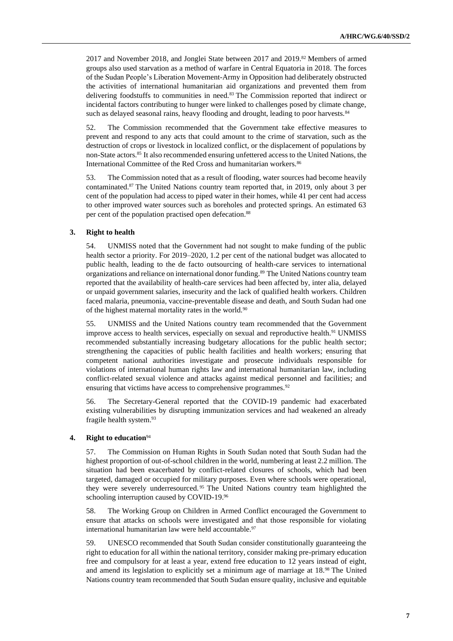2017 and November 2018, and Jonglei State between 2017 and 2019.<sup>82</sup> Members of armed groups also used starvation as a method of warfare in Central Equatoria in 2018. The forces of the Sudan People's Liberation Movement-Army in Opposition had deliberately obstructed the activities of international humanitarian aid organizations and prevented them from delivering foodstuffs to communities in need.<sup>83</sup> The Commission reported that indirect or incidental factors contributing to hunger were linked to challenges posed by climate change, such as delayed seasonal rains, heavy flooding and drought, leading to poor harvests.<sup>84</sup>

52. The Commission recommended that the Government take effective measures to prevent and respond to any acts that could amount to the crime of starvation, such as the destruction of crops or livestock in localized conflict, or the displacement of populations by non-State actors.<sup>85</sup> It also recommended ensuring unfettered access to the United Nations, the International Committee of the Red Cross and humanitarian workers.<sup>86</sup>

53. The Commission noted that as a result of flooding, water sources had become heavily contaminated.<sup>87</sup> The United Nations country team reported that, in 2019, only about 3 per cent of the population had access to piped water in their homes, while 41 per cent had access to other improved water sources such as boreholes and protected springs. An estimated 63 per cent of the population practised open defecation.<sup>88</sup>

### **3. Right to health**

54. UNMISS noted that the Government had not sought to make funding of the public health sector a priority. For 2019–2020, 1.2 per cent of the national budget was allocated to public health, leading to the de facto outsourcing of health-care services to international organizations and reliance on international donor funding.<sup>89</sup> The United Nations country team reported that the availability of health-care services had been affected by, inter alia, delayed or unpaid government salaries, insecurity and the lack of qualified health workers. Children faced malaria, pneumonia, vaccine-preventable disease and death, and South Sudan had one of the highest maternal mortality rates in the world.<sup>90</sup>

55. UNMISS and the United Nations country team recommended that the Government improve access to health services, especially on sexual and reproductive health.<sup>91</sup> UNMISS recommended substantially increasing budgetary allocations for the public health sector; strengthening the capacities of public health facilities and health workers; ensuring that competent national authorities investigate and prosecute individuals responsible for violations of international human rights law and international humanitarian law, including conflict-related sexual violence and attacks against medical personnel and facilities; and ensuring that victims have access to comprehensive programmes.<sup>92</sup>

56. The Secretary-General reported that the COVID-19 pandemic had exacerbated existing vulnerabilities by disrupting immunization services and had weakened an already fragile health system. 93

## **4. Right to education**<sup>94</sup>

57. The Commission on Human Rights in South Sudan noted that South Sudan had the highest proportion of out-of-school children in the world, numbering at least 2.2 million. The situation had been exacerbated by conflict-related closures of schools, which had been targeted, damaged or occupied for military purposes. Even where schools were operational, they were severely underresourced. <sup>95</sup> The United Nations country team highlighted the schooling interruption caused by COVID-19.<sup>96</sup>

58. The Working Group on Children in Armed Conflict encouraged the Government to ensure that attacks on schools were investigated and that those responsible for violating international humanitarian law were held accountable.<sup>97</sup>

59. UNESCO recommended that South Sudan consider constitutionally guaranteeing the right to education for all within the national territory, consider making pre-primary education free and compulsory for at least a year, extend free education to 12 years instead of eight, and amend its legislation to explicitly set a minimum age of marriage at 18.<sup>98</sup> The United Nations country team recommended that South Sudan ensure quality, inclusive and equitable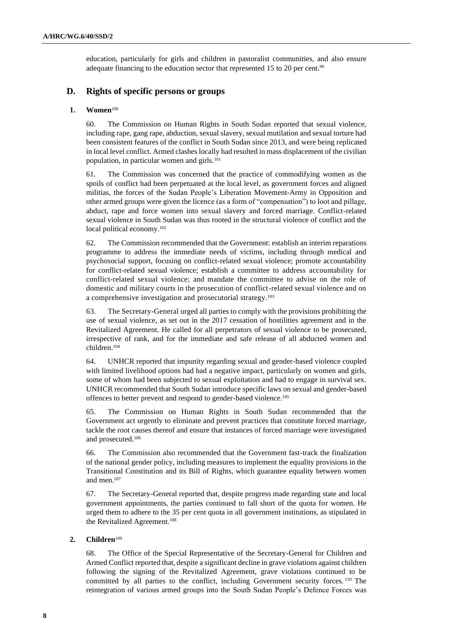education, particularly for girls and children in pastoralist communities, and also ensure adequate financing to the education sector that represented 15 to 20 per cent.<sup>99</sup>

## **D. Rights of specific persons or groups**

### **1. Women**<sup>100</sup>

60. The Commission on Human Rights in South Sudan reported that sexual violence, including rape, gang rape, abduction, sexual slavery, sexual mutilation and sexual torture had been consistent features of the conflict in South Sudan since 2013, and were being replicated in local level conflict. Armed clashes locally had resulted in mass displacement of the civilian population, in particular women and girls.<sup>101</sup>

61. The Commission was concerned that the practice of commodifying women as the spoils of conflict had been perpetuated at the local level, as government forces and aligned militias, the forces of the Sudan People's Liberation Movement-Army in Opposition and other armed groups were given the licence (as a form of "compensation") to loot and pillage, abduct, rape and force women into sexual slavery and forced marriage. Conflict-related sexual violence in South Sudan was thus rooted in the structural violence of conflict and the local political economy.<sup>102</sup>

62. The Commission recommended that the Government: establish an interim reparations programme to address the immediate needs of victims, including through medical and psychosocial support, focusing on conflict-related sexual violence; promote accountability for conflict-related sexual violence; establish a committee to address accountability for conflict-related sexual violence; and mandate the committee to advise on the role of domestic and military courts in the prosecution of conflict-related sexual violence and on a comprehensive investigation and prosecutorial strategy.<sup>103</sup>

63. The Secretary-General urged all parties to comply with the provisions prohibiting the use of sexual violence, as set out in the 2017 cessation of hostilities agreement and in the Revitalized Agreement. He called for all perpetrators of sexual violence to be prosecuted, irrespective of rank, and for the immediate and safe release of all abducted women and children.<sup>104</sup>

64. UNHCR reported that impunity regarding sexual and gender-based violence coupled with limited livelihood options had had a negative impact, particularly on women and girls, some of whom had been subjected to sexual exploitation and had to engage in survival sex. UNHCR recommended that South Sudan introduce specific laws on sexual and gender-based offences to better prevent and respond to gender-based violence. 105

65. The Commission on Human Rights in South Sudan recommended that the Government act urgently to eliminate and prevent practices that constitute forced marriage, tackle the root causes thereof and ensure that instances of forced marriage were investigated and prosecuted.<sup>106</sup>

66. The Commission also recommended that the Government fast-track the finalization of the national gender policy, including measures to implement the equality provisions in the Transitional Constitution and its Bill of Rights, which guarantee equality between women and men.<sup>107</sup>

67. The Secretary-General reported that, despite progress made regarding state and local government appointments, the parties continued to fall short of the quota for women. He urged them to adhere to the 35 per cent quota in all government institutions, as stipulated in the Revitalized Agreement. 108

## **2. Children**<sup>109</sup>

68. The Office of the Special Representative of the Secretary-General for Children and Armed Conflict reported that, despite a significant decline in grave violations against children following the signing of the Revitalized Agreement, grave violations continued to be committed by all parties to the conflict, including Government security forces. <sup>110</sup> The reintegration of various armed groups into the South Sudan People's Defence Forces was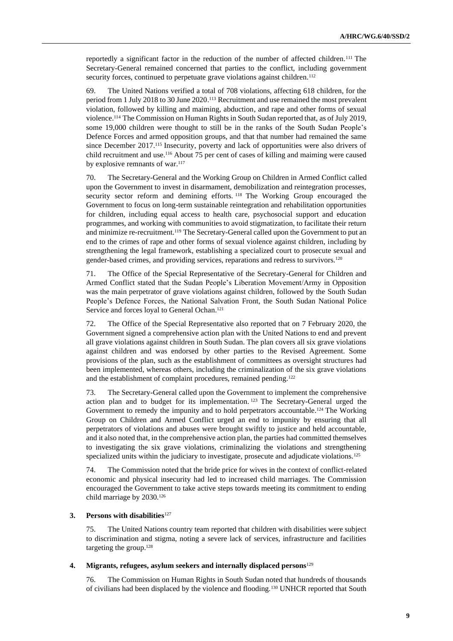reportedly a significant factor in the reduction of the number of affected children.<sup>111</sup> The Secretary-General remained concerned that parties to the conflict, including government security forces, continued to perpetuate grave violations against children.<sup>112</sup>

69. The United Nations verified a total of 708 violations, affecting 618 children, for the period from 1 July 2018 to 30 June 2020. <sup>113</sup> Recruitment and use remained the most prevalent violation, followed by killing and maiming, abduction, and rape and other forms of sexual violence.<sup>114</sup> The Commission on Human Rights in South Sudan reported that, as of July 2019, some 19,000 children were thought to still be in the ranks of the South Sudan People's Defence Forces and armed opposition groups, and that that number had remained the same since December 2017.<sup>115</sup> Insecurity, poverty and lack of opportunities were also drivers of child recruitment and use.<sup>116</sup> About 75 per cent of cases of killing and maiming were caused by explosive remnants of war.<sup>117</sup>

70. The Secretary-General and the Working Group on Children in Armed Conflict called upon the Government to invest in disarmament, demobilization and reintegration processes, security sector reform and demining efforts.<sup>118</sup> The Working Group encouraged the Government to focus on long-term sustainable reintegration and rehabilitation opportunities for children, including equal access to health care, psychosocial support and education programmes, and working with communities to avoid stigmatization, to facilitate their return and minimize re-recruitment.<sup>119</sup> The Secretary-General called upon the Government to put an end to the crimes of rape and other forms of sexual violence against children, including by strengthening the legal framework, establishing a specialized court to prosecute sexual and gender-based crimes, and providing services, reparations and redress to survivors.<sup>120</sup>

71. The Office of the Special Representative of the Secretary-General for Children and Armed Conflict stated that the Sudan People's Liberation Movement/Army in Opposition was the main perpetrator of grave violations against children, followed by the South Sudan People's Defence Forces, the National Salvation Front, the South Sudan National Police Service and forces loyal to General Ochan.<sup>121</sup>

72. The Office of the Special Representative also reported that on 7 February 2020, the Government signed a comprehensive action plan with the United Nations to end and prevent all grave violations against children in South Sudan. The plan covers all six grave violations against children and was endorsed by other parties to the Revised Agreement. Some provisions of the plan, such as the establishment of committees as oversight structures had been implemented, whereas others, including the criminalization of the six grave violations and the establishment of complaint procedures, remained pending.<sup>122</sup>

73. The Secretary-General called upon the Government to implement the comprehensive action plan and to budget for its implementation. <sup>123</sup> The Secretary-General urged the Government to remedy the impunity and to hold perpetrators accountable.<sup>124</sup> The Working Group on Children and Armed Conflict urged an end to impunity by ensuring that all perpetrators of violations and abuses were brought swiftly to justice and held accountable, and it also noted that, in the comprehensive action plan, the parties had committed themselves to investigating the six grave violations, criminalizing the violations and strengthening specialized units within the judiciary to investigate, prosecute and adjudicate violations.<sup>125</sup>

74. The Commission noted that the bride price for wives in the context of conflict-related economic and physical insecurity had led to increased child marriages. The Commission encouraged the Government to take active steps towards meeting its commitment to ending child marriage by 2030.<sup>126</sup>

## **3. Persons with disabilities**<sup>127</sup>

75. The United Nations country team reported that children with disabilities were subject to discrimination and stigma, noting a severe lack of services, infrastructure and facilities targeting the group. 128

#### **4. Migrants, refugees, asylum seekers and internally displaced persons**<sup>129</sup>

76. The Commission on Human Rights in South Sudan noted that hundreds of thousands of civilians had been displaced by the violence and flooding.<sup>130</sup> UNHCR reported that South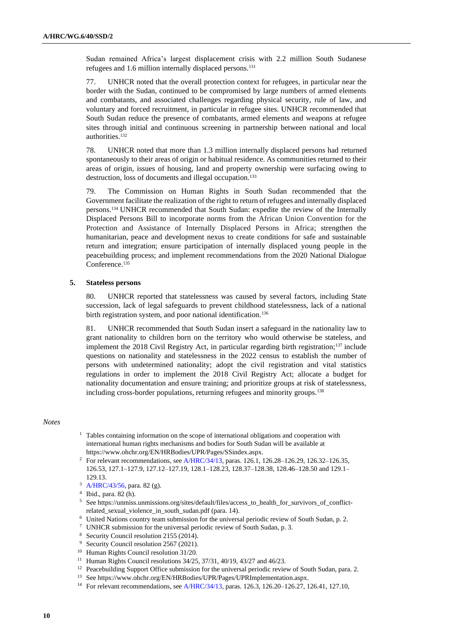Sudan remained Africa's largest displacement crisis with 2.2 million South Sudanese refugees and 1.6 million internally displaced persons.<sup>131</sup>

77. UNHCR noted that the overall protection context for refugees, in particular near the border with the Sudan, continued to be compromised by large numbers of armed elements and combatants, and associated challenges regarding physical security, rule of law, and voluntary and forced recruitment, in particular in refugee sites. UNHCR recommended that South Sudan reduce the presence of combatants, armed elements and weapons at refugee sites through initial and continuous screening in partnership between national and local authorities.<sup>132</sup>

78. UNHCR noted that more than 1.3 million internally displaced persons had returned spontaneously to their areas of origin or habitual residence. As communities returned to their areas of origin, issues of housing, land and property ownership were surfacing owing to destruction, loss of documents and illegal occupation.<sup>133</sup>

79. The Commission on Human Rights in South Sudan recommended that the Government facilitate the realization of the right to return of refugees and internally displaced persons.<sup>134</sup> UNHCR recommended that South Sudan: expedite the review of the Internally Displaced Persons Bill to incorporate norms from the African Union Convention for the Protection and Assistance of Internally Displaced Persons in Africa; strengthen the humanitarian, peace and development nexus to create conditions for safe and sustainable return and integration; ensure participation of internally displaced young people in the peacebuilding process; and implement recommendations from the 2020 National Dialogue Conference.<sup>135</sup>

## **5. Stateless persons**

80. UNHCR reported that statelessness was caused by several factors, including State succession, lack of legal safeguards to prevent childhood statelessness, lack of a national birth registration system, and poor national identification.<sup>136</sup>

81. UNHCR recommended that South Sudan insert a safeguard in the nationality law to grant nationality to children born on the territory who would otherwise be stateless, and implement the 2018 Civil Registry Act, in particular regarding birth registration;<sup>137</sup> include questions on nationality and statelessness in the 2022 census to establish the number of persons with undetermined nationality; adopt the civil registration and vital statistics regulations in order to implement the 2018 Civil Registry Act; allocate a budget for nationality documentation and ensure training; and prioritize groups at risk of statelessness, including cross-border populations, returning refugees and minority groups.<sup>138</sup>

### *Notes*

- <sup>1</sup> Tables containing information on the scope of international obligations and cooperation with international human rights mechanisms and bodies for South Sudan will be available at https://www.ohchr.org/EN/HRBodies/UPR/Pages/SSindex.aspx.
- <sup>2</sup> For relevant recommendations, se[e A/HRC/34/13,](http://undocs.org/en/A/HRC/34/13) paras. 126.1, 126.28–126.29, 126.32–126.35, 126.53, 127.1–127.9, 127.12–127.19, 128.1–128.23, 128.37–128.38, 128.46–128.50 and 129.1– 129.13.
- <sup>3</sup> [A/HRC/43/56,](https://undocs.org/en/A/HRC/43/56) para. 82 (g).

- <sup>6</sup> United Nations country team submission for the universal periodic review of South Sudan, p. 2.
- <sup>7</sup> UNHCR submission for the universal periodic review of South Sudan, p. 3.
- <sup>8</sup> Security Council resolution 2155 (2014).
- <sup>9</sup> Security Council resolution 2567 (2021).
- <sup>10</sup> Human Rights Council resolution 31/20.
- <sup>11</sup> Human Rights Council resolutions 34/25, 37/31, 40/19, 43/27 and 46/23.
- <sup>12</sup> Peacebuilding Support Office submission for the universal periodic review of South Sudan, para. 2.
- <sup>13</sup> See https://www.ohchr.org/EN/HRBodies/UPR/Pages/UPRImplementation.aspx.
- <sup>14</sup> For relevant recommendations, se[e A/HRC/34/13,](http://undocs.org/en/A/HRC/34/13) paras. 126.3, 126.20-126.27, 126.41, 127.10,

<sup>4</sup> Ibid., para. 82 (h).

<sup>5</sup> See https://unmiss.unmissions.org/sites/default/files/access\_to\_health\_for\_survivors\_of\_conflictrelated\_sexual\_violence\_in\_south\_sudan.pdf (para. 14).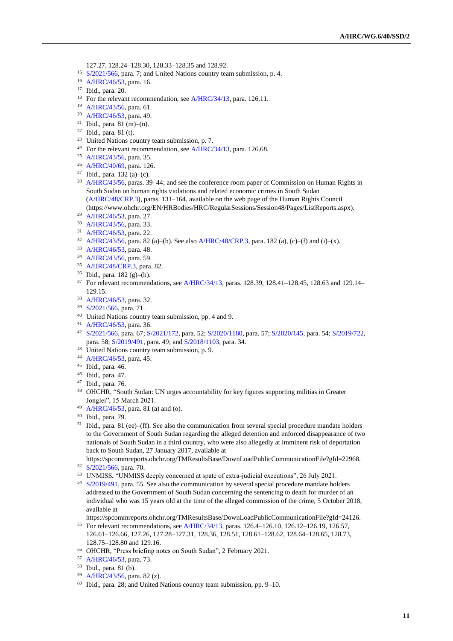- 127.27, 128.24–128.30, 128.33–128.35 and 128.92.
- <sup>15</sup> [S/2021/566,](http://undocs.org/en/S/2021/566) para. 7; and United Nations country team submission, p. 4.
- [A/HRC/46/53,](http://undocs.org/en/A/HRC/46/53) para. 16.
- Ibid., para. 20.
- <sup>18</sup> For the relevant recommendation, see [A/HRC/34/13,](http://undocs.org/en/A/HRC/34/13) para. 126.11.
- [A/HRC/43/56,](https://undocs.org/en/A/HRC/43/56) para. 61.
- [A/HRC/46/53,](http://undocs.org/en/A/HRC/46/53) para. 49.
- Ibid., para. 81 (m)–(n).
- Ibid., para. 81 (t).
- United Nations country team submission, p. 7.
- <sup>24</sup> For the relevant recommendation, see [A/HRC/34/13,](http://undocs.org/en/A/HRC/34/13) para. 126.68.
- [A/HRC/43/56,](http://undocs.org/en/A/HRC/43/56) para. 35.
- [A/HRC/40/69,](http://undocs.org/en/A/HRC/40/69) para. 126.
- Ibid., para. 132 (a)–(c).
- <sup>28</sup> [A/HRC/43/56,](http://undocs.org/en/A/HRC/43/56) paras. 39–44; and see the conference room paper of Commission on Human Rights in South Sudan on human rights violations and related economic crimes in South Sudan [\(A/HRC/48/CRP.3\)](http://undocs.org/en/A/HRC/48/CRP.3), paras. 131–164, available on the web page of the Human Rights Council (https://www.ohchr.org/EN/HRBodies/HRC/RegularSessions/Session48/Pages/ListReports.aspx).
- [A/HRC/46/53,](http://undocs.org/en/A/HRC/46/53) para. 27.
- [A/HRC/43/56,](http://undocs.org/en/A/HRC/43/56) para. 33.
- [A/HRC/46/53,](http://undocs.org/en/A/HRC/46/53) para. 22.
- <sup>32</sup> [A/HRC/43/56,](http://undocs.org/en/A/HRC/43/56) para. 82 (a)–(b). See also [A/HRC/48/CRP.3,](http://undocs.org/en/A/HRC/48/CRP.3) para. 182 (a), (c)–(f) and (i)–(x).
- [A/HRC/46/53,](http://undocs.org/en/A/HRC/46/53) para. 48.
- [A/HRC/43/56,](http://undocs.org/en/A/HRC/43/56) para. 59.
- [A/HRC/48/CRP.3,](http://undocs.org/en/A/HRC/48/CRP.3) para. 82.
- Ibid., para. 182 (g)–(h).
- <sup>37</sup> For relevant recommendations, se[e A/HRC/34/13,](http://undocs.org/en/A/HRC/34/13) paras. 128.39, 128.41-128.45, 128.63 and 129.14-129.15.
- [A/HRC/46/53,](http://undocs.org/en/A/HRC/46/53) para. 32.
- [S/2021/566,](http://undocs.org/en/S/2021/566) para. 71.
- United Nations country team submission, pp. 4 and 9.
- [A/HRC/46/53,](http://undocs.org/en/A/HRC/46/53) para. 36.
- [S/2021/566,](http://undocs.org/en/S/2021/566) para. 67; [S/2021/172,](http://undocs.org/en/S/2021/172) para. 52; [S/2020/1180,](http://undocs.org/en/S/2020/1180) para. 57; [S/2020/145,](http://undocs.org/en/S/2020/145) para. 54; [S/2019/722,](http://undocs.org/en/S/2019/722)  para. 58; [S/2019/491,](http://undocs.org/en/S/2019/491) para. 49; and [S/2018/1103,](http://undocs.org/en/S/2018/1103) para. 34.
- <sup>43</sup> United Nations country team submission, p. 9.
- [A/HRC/46/53,](http://undocs.org/en/A/HRC/46/53) para. 45.
- Ibid., para. 46.
- Ibid., para. 47.
- Ibid., para. 76.
- OHCHR, "South Sudan: UN urges accountability for key figures supporting militias in Greater Jonglei", 15 March 2021.
- [A/HRC/46/53,](http://undocs.org/en/A/HRC/46/53) para. 81 (a) and (o).
- Ibid., para. 79.
- Ibid., para. 81 (ee)–(ff). See also the communication from several special procedure mandate holders to the Government of South Sudan regarding the alleged detention and enforced disappearance of two nationals of South Sudan in a third country, who were also allegedly at imminent risk of deportation back to South Sudan, 27 January 2017, available at
- https://spcommreports.ohchr.org/TMResultsBase/DownLoadPublicCommunicationFile?gId=22968. [S/2021/566,](http://undocs.org/en/S/2021/566) para. 70.
- 
- UNMISS, "UNMISS deeply concerned at spate of extra-judicial executions", 26 July 2021.
- [S/2019/491,](http://undocs.org/en/S/2019/491) para. 55. See also the communication by several special procedure mandate holders addressed to the Government of South Sudan concerning the sentencing to death for murder of an individual who was 15 years old at the time of the alleged commission of the crime, 5 October 2018, available at
- https://spcommreports.ohchr.org/TMResultsBase/DownLoadPublicCommunicationFile?gId=24126.
- For relevant recommendations, se[e A/HRC/34/13,](http://undocs.org/en/A/HRC/34/13) paras. 126.4–126.10, 126.12–126.19, 126.57, 126.61–126.66, 127.26, 127.28–127.31, 128.36, 128.51, 128.61–128.62, 128.64–128.65, 128.73, 128.75–128.80 and 129.16.
- OHCHR, "Press briefing notes on South Sudan", 2 February 2021.
- [A/HRC/46/53,](http://undocs.org/en/A/HRC/46/53) para. 73.
- Ibid., para. 81 (b).
- [A/HRC/43/56,](http://undocs.org/en/A/HRC/43/56) para. 82 (z).
- Ibid., para. 28; and United Nations country team submission, pp. 9–10.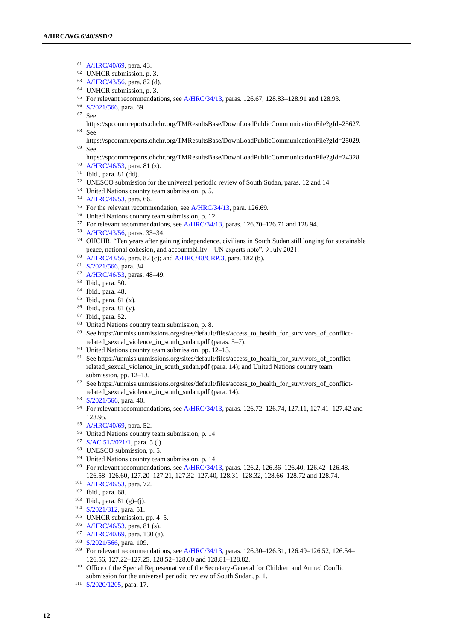- [A/HRC/40/69,](http://undocs.org/en/A/HRC/40/69) para. 43.
- UNHCR submission, p. 3.
- [A/HRC/43/56,](http://undocs.org/en/A/HRC/43/56) para. 82 (d).
- UNHCR submission, p. 3.
- For relevant recommendations, se[e A/HRC/34/13,](http://undocs.org/en/A/HRC/34/13) paras. 126.67, 128.83–128.91 and 128.93.
- [S/2021/566,](http://undocs.org/en/S/2021/566) para. 69.
- See
- https://spcommreports.ohchr.org/TMResultsBase/DownLoadPublicCommunicationFile?gId=25627. See
- https://spcommreports.ohchr.org/TMResultsBase/DownLoadPublicCommunicationFile?gId=25029. See
- https://spcommreports.ohchr.org/TMResultsBase/DownLoadPublicCommunicationFile?gId=24328.
- [A/HRC/46/53,](http://undocs.org/en/A/HRC/46/53) para. 81 (z).
- Ibid., para. 81 (dd).
- UNESCO submission for the universal periodic review of South Sudan, paras. 12 and 14.
- United Nations country team submission, p. 5.
- [A/HRC/46/53,](http://undocs.org/en/A/HRC/46/53) para. 66.
- For the relevant recommendation, see [A/HRC/34/13,](http://undocs.org/en/A/HRC/34/13) para. 126.69.
- United Nations country team submission, p. 12.
- <sup>77</sup> For relevant recommendations, see  $A/HRC/34/13$ , paras. 126.70–126.71 and 128.94.
- [A/HRC/43/56,](http://undocs.org/en/A/HRC/43/56) paras. 33–34.
- OHCHR, "Ten years after gaining independence, civilians in South Sudan still longing for sustainable peace, national cohesion, and accountability – UN experts note", 9 July 2021.
- [A/HRC/43/56,](http://undocs.org/en/A/HRC/43/56) para. 82 (c); an[d A/HRC/48/CRP.3,](http://undocs.org/en/A/HRC/48/CRP.3) para. 182 (b).
- [S/2021/566,](http://undocs.org/en/S/2021/566) para. 34.
- [A/HRC/46/53,](http://undocs.org/en/A/HRC/46/53) paras. 48–49.
- Ibid., para. 50.
- Ibid., para. 48.
- Ibid., para. 81 (x).
- Ibid., para. 81 (y).
- Ibid., para. 52.
- United Nations country team submission, p. 8.
- 89 See https://unmiss.unmissions.org/sites/default/files/access\_to\_health\_for\_survivors\_of\_conflictrelated\_sexual\_violence\_in\_south\_sudan.pdf (paras. 5–7).
- United Nations country team submission, pp. 12–13.
- See https://unmiss.unmissions.org/sites/default/files/access\_to\_health\_for\_survivors\_of\_conflictrelated\_sexual\_violence\_in\_south\_sudan.pdf (para. 14); and United Nations country team submission, pp. 12–13.
- 92 See https://unmiss.unmissions.org/sites/default/files/access\_to\_health\_for\_survivors\_of\_conflictrelated\_sexual\_violence\_in\_south\_sudan.pdf (para. 14).
- [S/2021/566,](http://undocs.org/en/S/2021/566) para. 40.
- For relevant recommendations, se[e A/HRC/34/13,](http://undocs.org/en/A/HRC/34/13) paras. 126.72–126.74, 127.11, 127.41–127.42 and 128.95.
- [A/HRC/40/69,](http://undocs.org/en/A/HRC/40/69) para. 52.
- United Nations country team submission, p. 14.
- [S/AC.51/2021/1,](https://undocs.org/en/S/AC.51/2021/1) para. 5 (l).
- UNESCO submission, p. 5.
- <sup>99</sup> United Nations country team submission, p. 14.
- <sup>100</sup> For relevant recommendations, se[e A/HRC/34/13,](http://undocs.org/en/A/HRC/34/13) paras. 126.2, 126.36-126.40, 126.42-126.48, 126.58–126.60, 127.20–127.21, 127.32–127.40, 128.31–128.32, 128.66–128.72 and 128.74.
- [A/HRC/46/53,](http://undocs.org/en/A/HRC/46/53) para. 72.
- Ibid., para. 68.
- Ibid., para. 81 (g)–(j).
- [S/2021/312,](http://undocs.org/en/S/2021/312) para. 51.
- UNHCR submission, pp. 4–5.
- [A/HRC/46/53,](http://undocs.org/en/A/HRC/46/53) para. 81 (s).
- [A/HRC/40/69,](http://undocs.org/en/A/HRC/40/69) para. 130 (a).
- [S/2021/566,](http://undocs.org/en/S/2021/566) para. 109.
- <sup>109</sup> For relevant recommendations, se[e A/HRC/34/13,](http://undocs.org/en/A/HRC/34/13) paras. 126.30–126.31, 126.49–126.52, 126.54– 126.56, 127.22–127.25, 128.52–128.60 and 128.81–128.82.
- Office of the Special Representative of the Secretary-General for Children and Armed Conflict submission for the universal periodic review of South Sudan, p. 1.
- [S/2020/1205,](http://undocs.org/en/S/2020/1205) para. 17.